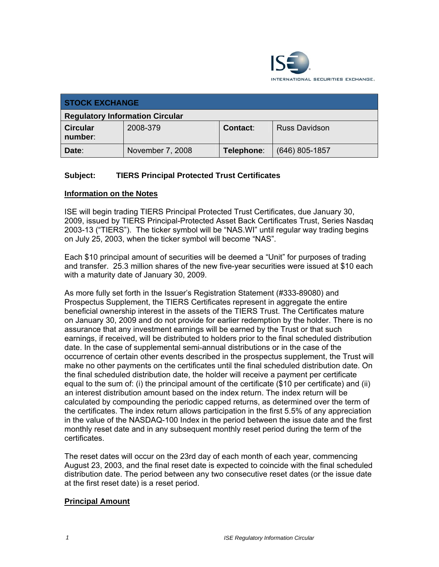

| <b>STOCK EXCHANGE</b>                  |                  |            |                      |
|----------------------------------------|------------------|------------|----------------------|
| <b>Regulatory Information Circular</b> |                  |            |                      |
| <b>Circular</b><br>number:             | 2008-379         | Contact:   | <b>Russ Davidson</b> |
| Date:                                  | November 7, 2008 | Telephone: | $(646)$ 805-1857     |

## **Subject: TIERS Principal Protected Trust Certificates**

#### **Information on the Notes**

ISE will begin trading TIERS Principal Protected Trust Certificates, due January 30, 2009, issued by TIERS Principal-Protected Asset Back Certificates Trust, Series Nasdaq 2003-13 ("TIERS"). The ticker symbol will be "NAS.WI" until regular way trading begins on July 25, 2003, when the ticker symbol will become "NAS".

Each \$10 principal amount of securities will be deemed a "Unit" for purposes of trading and transfer. 25.3 million shares of the new five-year securities were issued at \$10 each with a maturity date of January 30, 2009.

As more fully set forth in the Issuer's Registration Statement (#333-89080) and Prospectus Supplement, the TIERS Certificates represent in aggregate the entire beneficial ownership interest in the assets of the TIERS Trust. The Certificates mature on January 30, 2009 and do not provide for earlier redemption by the holder. There is no assurance that any investment earnings will be earned by the Trust or that such earnings, if received, will be distributed to holders prior to the final scheduled distribution date. In the case of supplemental semi-annual distributions or in the case of the occurrence of certain other events described in the prospectus supplement, the Trust will make no other payments on the certificates until the final scheduled distribution date. On the final scheduled distribution date, the holder will receive a payment per certificate equal to the sum of: (i) the principal amount of the certificate (\$10 per certificate) and (ii) an interest distribution amount based on the index return. The index return will be calculated by compounding the periodic capped returns, as determined over the term of the certificates. The index return allows participation in the first 5.5% of any appreciation in the value of the NASDAQ-100 Index in the period between the issue date and the first monthly reset date and in any subsequent monthly reset period during the term of the certificates.

The reset dates will occur on the 23rd day of each month of each year, commencing August 23, 2003, and the final reset date is expected to coincide with the final scheduled distribution date. The period between any two consecutive reset dates (or the issue date at the first reset date) is a reset period.

### **Principal Amount**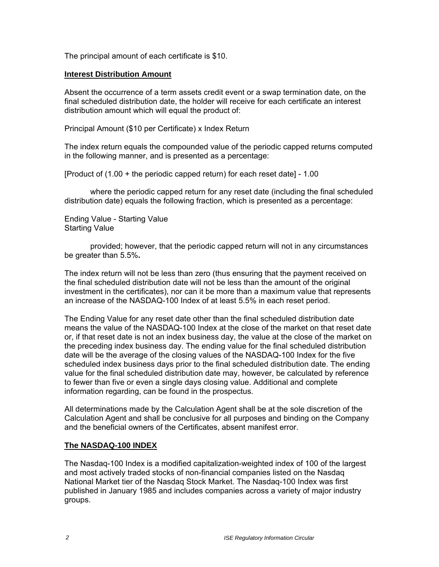The principal amount of each certificate is \$10.

#### **Interest Distribution Amount**

Absent the occurrence of a term assets credit event or a swap termination date, on the final scheduled distribution date, the holder will receive for each certificate an interest distribution amount which will equal the product of:

Principal Amount (\$10 per Certificate) x Index Return

The index return equals the compounded value of the periodic capped returns computed in the following manner, and is presented as a percentage:

[Product of (1.00 + the periodic capped return) for each reset date] - 1.00

where the periodic capped return for any reset date (including the final scheduled distribution date) equals the following fraction, which is presented as a percentage:

Ending Value - Starting Value Starting Value

provided; however, that the periodic capped return will not in any circumstances be greater than 5.5%**.** 

The index return will not be less than zero (thus ensuring that the payment received on the final scheduled distribution date will not be less than the amount of the original investment in the certificates), nor can it be more than a maximum value that represents an increase of the NASDAQ-100 Index of at least 5.5% in each reset period.

The Ending Value for any reset date other than the final scheduled distribution date means the value of the NASDAQ-100 Index at the close of the market on that reset date or, if that reset date is not an index business day, the value at the close of the market on the preceding index business day. The ending value for the final scheduled distribution date will be the average of the closing values of the NASDAQ-100 Index for the five scheduled index business days prior to the final scheduled distribution date. The ending value for the final scheduled distribution date may, however, be calculated by reference to fewer than five or even a single days closing value. Additional and complete information regarding, can be found in the prospectus.

All determinations made by the Calculation Agent shall be at the sole discretion of the Calculation Agent and shall be conclusive for all purposes and binding on the Company and the beneficial owners of the Certificates, absent manifest error.

### **The NASDAQ-100 INDEX**

The Nasdaq-100 Index is a modified capitalization-weighted index of 100 of the largest and most actively traded stocks of non-financial companies listed on the Nasdaq National Market tier of the Nasdaq Stock Market. The Nasdaq-100 Index was first published in January 1985 and includes companies across a variety of major industry groups.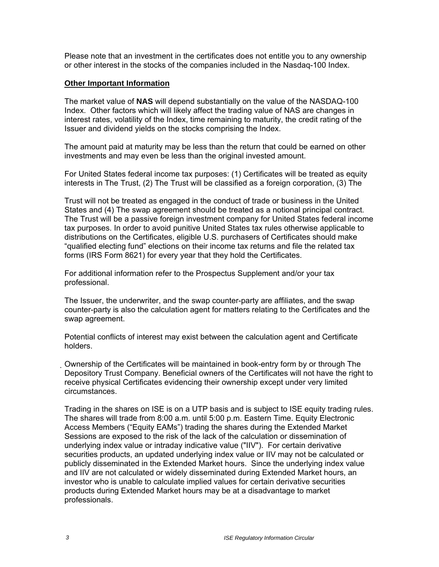Please note that an investment in the certificates does not entitle you to any ownership or other interest in the stocks of the companies included in the Nasdaq-100 Index.

#### **Other Important Information**

The market value of **NAS** will depend substantially on the value of the NASDAQ-100 Index. Other factors which will likely affect the trading value of NAS are changes in interest rates, volatility of the Index, time remaining to maturity, the credit rating of the Issuer and dividend yields on the stocks comprising the Index.

The amount paid at maturity may be less than the return that could be earned on other investments and may even be less than the original invested amount.

For United States federal income tax purposes: (1) Certificates will be treated as equity interests in The Trust, (2) The Trust will be classified as a foreign corporation, (3) The

Trust will not be treated as engaged in the conduct of trade or business in the United States and (4) The swap agreement should be treated as a notional principal contract. The Trust will be a passive foreign investment company for United States federal income tax purposes. In order to avoid punitive United States tax rules otherwise applicable to distributions on the Certificates, eligible U.S. purchasers of Certificates should make "qualified electing fund" elections on their income tax returns and file the related tax forms (IRS Form 8621) for every year that they hold the Certificates.

For additional information refer to the Prospectus Supplement and/or your tax professional.

The Issuer, the underwriter, and the swap counter-party are affiliates, and the swap counter-party is also the calculation agent for matters relating to the Certificates and the swap agreement.

Potential conflicts of interest may exist between the calculation agent and Certificate holders.

Ownership of the Certificates will be maintained in book-entry form by or through The Depository Trust Company. Beneficial owners of the Certificates will not have the right to receive physical Certificates evidencing their ownership except under very limited circumstances.

Trading in the shares on ISE is on a UTP basis and is subject to ISE equity trading rules. The shares will trade from 8:00 a.m. until 5:00 p.m. Eastern Time. Equity Electronic Access Members ("Equity EAMs") trading the shares during the Extended Market Sessions are exposed to the risk of the lack of the calculation or dissemination of underlying index value or intraday indicative value ("IIV"). For certain derivative securities products, an updated underlying index value or IIV may not be calculated or publicly disseminated in the Extended Market hours. Since the underlying index value and IIV are not calculated or widely disseminated during Extended Market hours, an investor who is unable to calculate implied values for certain derivative securities products during Extended Market hours may be at a disadvantage to market professionals.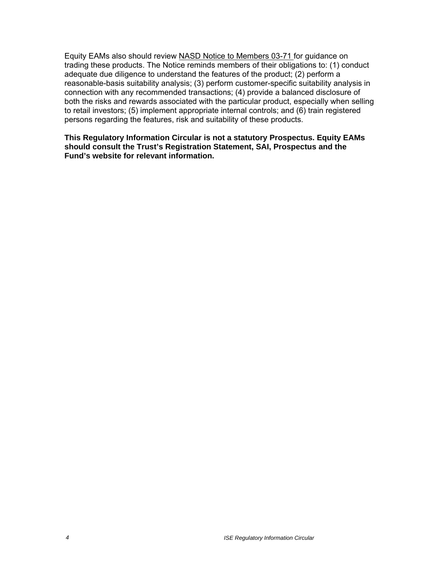Equity EAMs also should review NASD Notice to Members 03-71 for guidance on trading these products. The Notice reminds members of their obligations to: (1) conduct adequate due diligence to understand the features of the product; (2) perform a reasonable-basis suitability analysis; (3) perform customer-specific suitability analysis in connection with any recommended transactions; (4) provide a balanced disclosure of both the risks and rewards associated with the particular product, especially when selling to retail investors; (5) implement appropriate internal controls; and (6) train registered persons regarding the features, risk and suitability of these products.

**This Regulatory Information Circular is not a statutory Prospectus. Equity EAMs should consult the Trust's Registration Statement, SAI, Prospectus and the Fund's website for relevant information.**